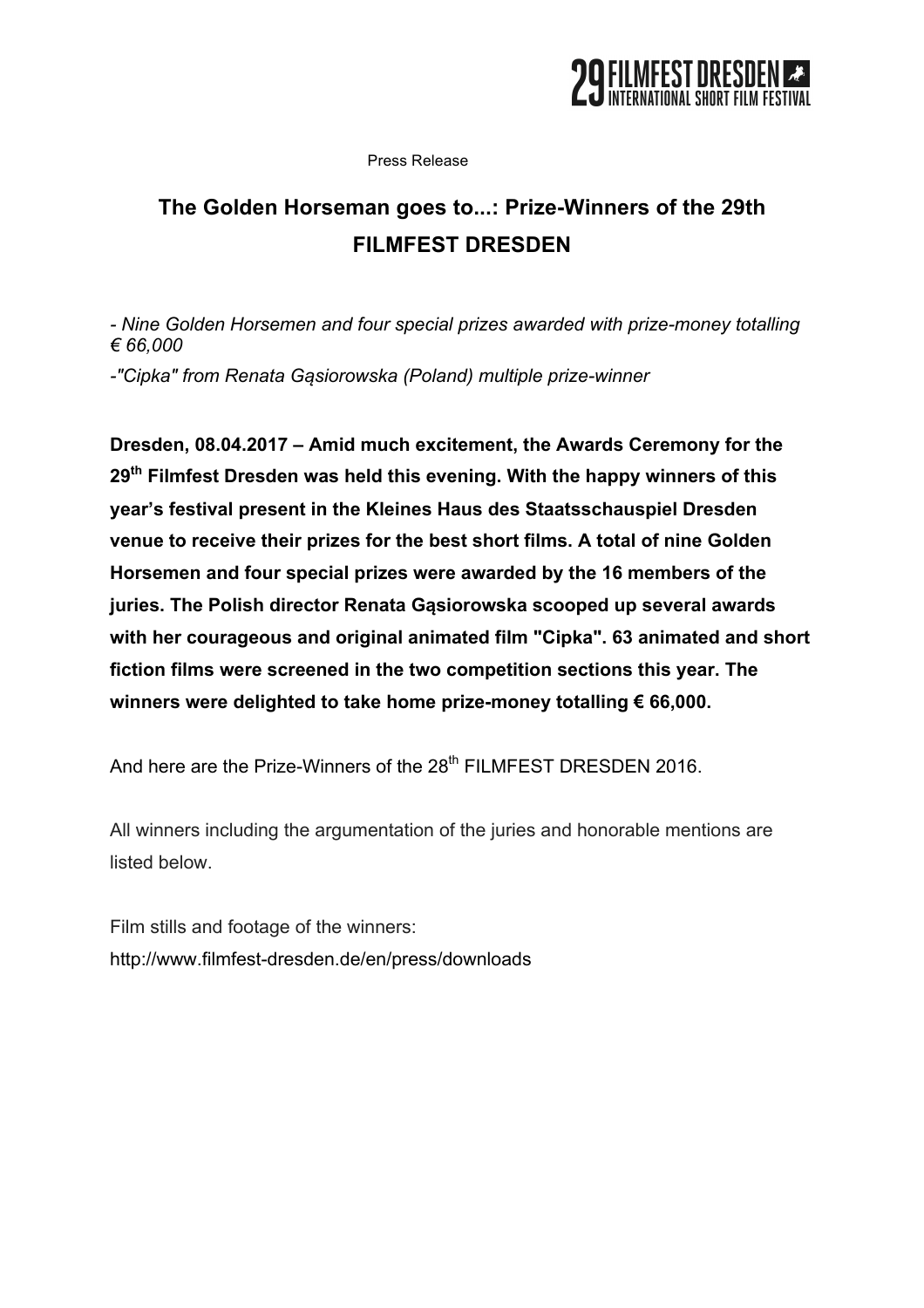

Press Release

# **The Golden Horseman goes to...: Prize-Winners of the 29th FILMFEST DRESDEN**

*- Nine Golden Horsemen and four special prizes awarded with prize-money totalling € 66,000*

*-"Cipka" from Renata Gąsiorowska (Poland) multiple prize-winner*

**Dresden, 08.04.2017 – Amid much excitement, the Awards Ceremony for the 29th Filmfest Dresden was held this evening. With the happy winners of this year's festival present in the Kleines Haus des Staatsschauspiel Dresden venue to receive their prizes for the best short films. A total of nine Golden Horsemen and four special prizes were awarded by the 16 members of the juries. The Polish director Renata Gąsiorowska scooped up several awards with her courageous and original animated film "Cipka". 63 animated and short fiction films were screened in the two competition sections this year. The winners were delighted to take home prize-money totalling € 66,000.**

And here are the Prize-Winners of the 28<sup>th</sup> FILMFEST DRESDEN 2016.

All winners including the argumentation of the juries and honorable mentions are listed below.

Film stills and footage of the winners: http://www.filmfest-dresden.de/en/press/downloads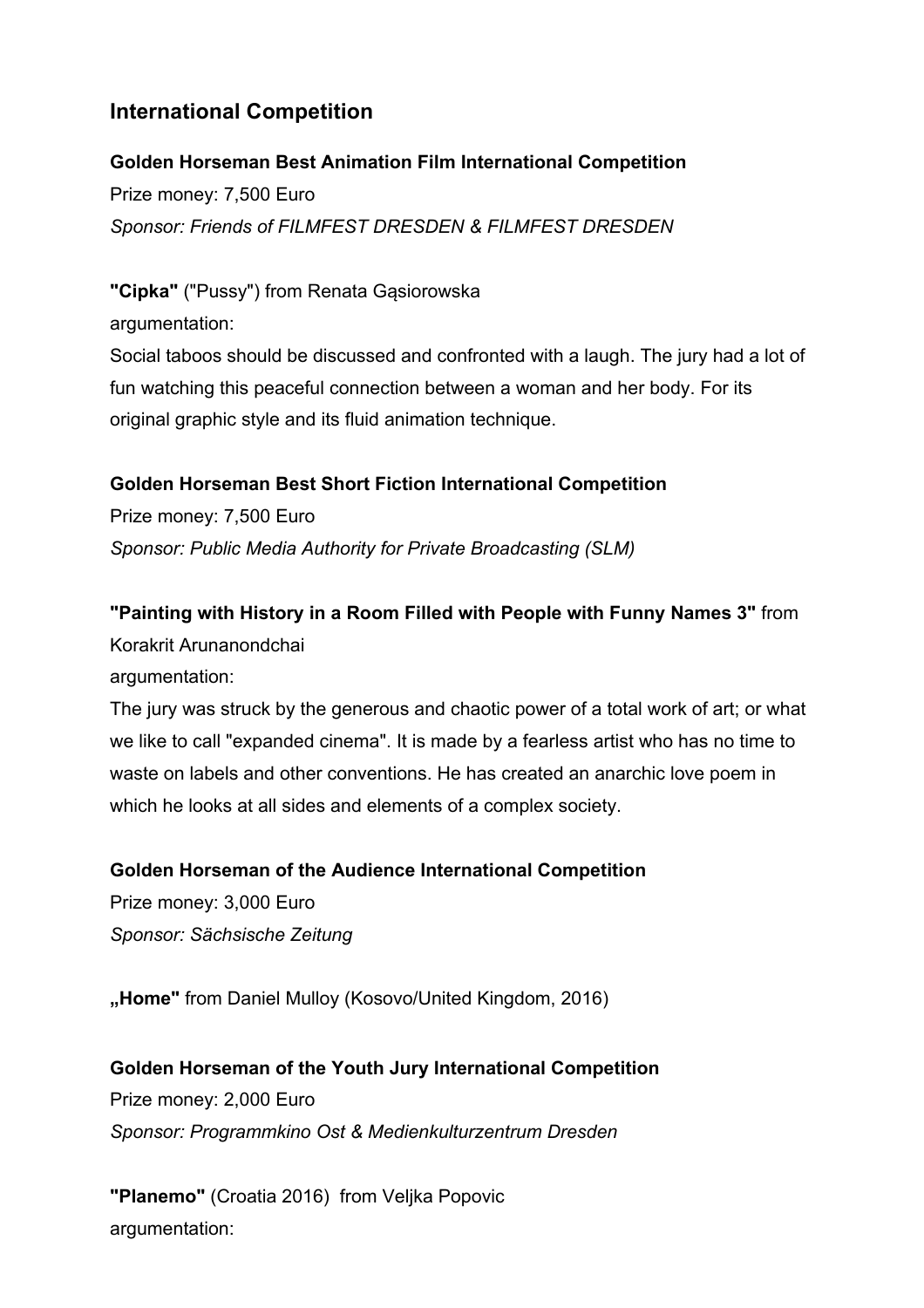# **International Competition**

#### **Golden Horseman Best Animation Film International Competition**

Prize money: 7,500 Euro *Sponsor: Friends of FILMFEST DRESDEN & FILMFEST DRESDEN*

**"Cipka"** ("Pussy") from Renata Gąsiorowska

argumentation:

Social taboos should be discussed and confronted with a laugh. The jury had a lot of fun watching this peaceful connection between a woman and her body. For its original graphic style and its fluid animation technique.

### **Golden Horseman Best Short Fiction International Competition**

Prize money: 7,500 Euro *Sponsor: Public Media Authority for Private Broadcasting (SLM)*

### **"Painting with History in a Room Filled with People with Funny Names 3"** from

Korakrit Arunanondchai

argumentation:

The jury was struck by the generous and chaotic power of a total work of art; or what we like to call "expanded cinema". It is made by a fearless artist who has no time to waste on labels and other conventions. He has created an anarchic love poem in which he looks at all sides and elements of a complex society.

### **Golden Horseman of the Audience International Competition**

Prize money: 3,000 Euro *Sponsor: Sächsische Zeitung*

**"Home"** from Daniel Mulloy (Kosovo/United Kingdom, 2016)

**Golden Horseman of the Youth Jury International Competition** Prize money: 2,000 Euro *Sponsor: Programmkino Ost & Medienkulturzentrum Dresden*

**"Planemo"** (Croatia 2016) from Veljka Popovic argumentation: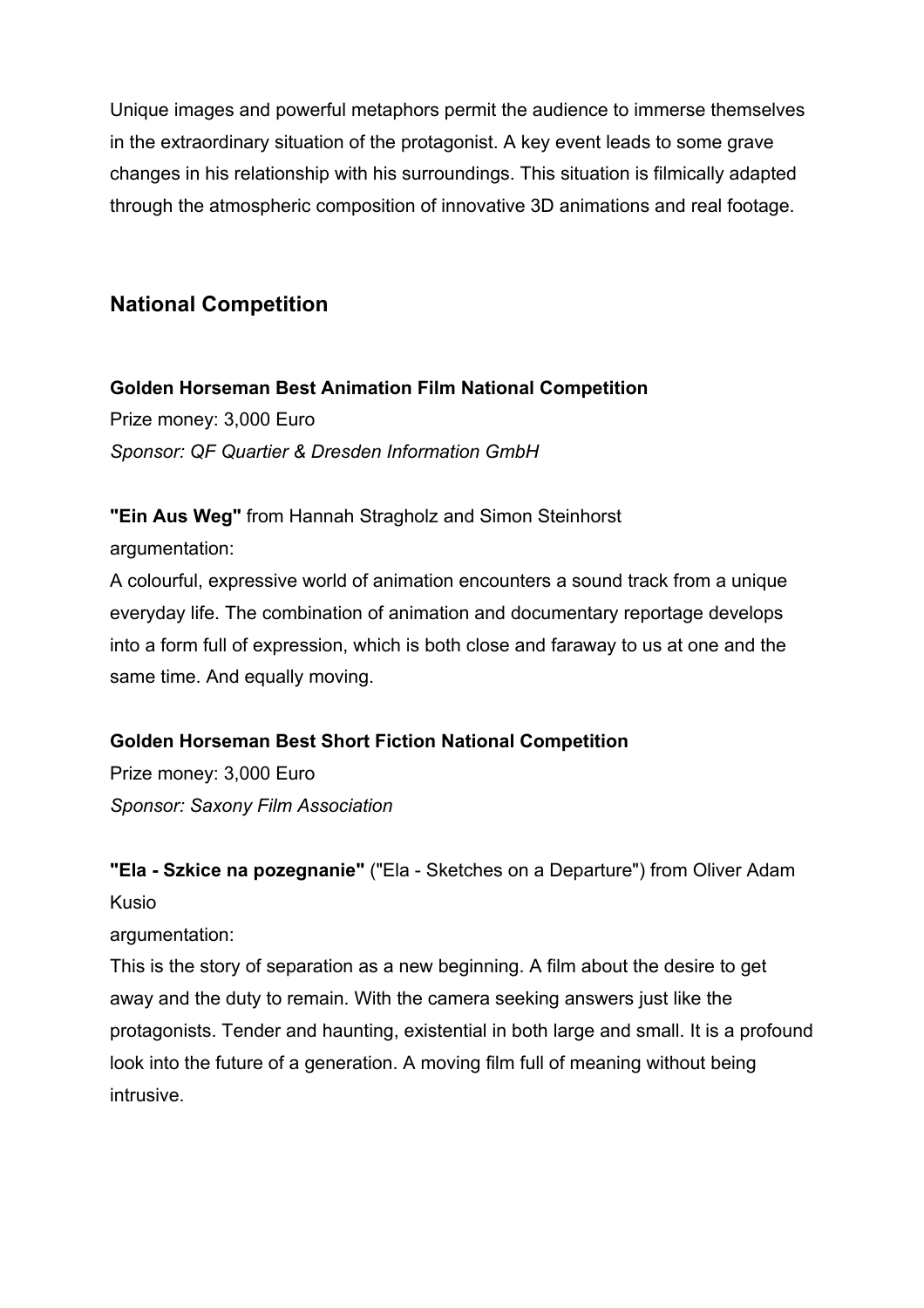Unique images and powerful metaphors permit the audience to immerse themselves in the extraordinary situation of the protagonist. A key event leads to some grave changes in his relationship with his surroundings. This situation is filmically adapted through the atmospheric composition of innovative 3D animations and real footage.

### **National Competition**

**Golden Horseman Best Animation Film National Competition**  Prize money: 3,000 Euro *Sponsor: QF Quartier & Dresden Information GmbH*

**"Ein Aus Weg"** from Hannah Stragholz and Simon Steinhorst argumentation:

A colourful, expressive world of animation encounters a sound track from a unique everyday life. The combination of animation and documentary reportage develops into a form full of expression, which is both close and faraway to us at one and the same time. And equally moving.

#### **Golden Horseman Best Short Fiction National Competition**

Prize money: 3,000 Euro *Sponsor: Saxony Film Association*

**"Ela - Szkice na pozegnanie"** ("Ela - Sketches on a Departure") from Oliver Adam Kusio

argumentation:

This is the story of separation as a new beginning. A film about the desire to get away and the duty to remain. With the camera seeking answers just like the protagonists. Tender and haunting, existential in both large and small. It is a profound look into the future of a generation. A moving film full of meaning without being intrusive.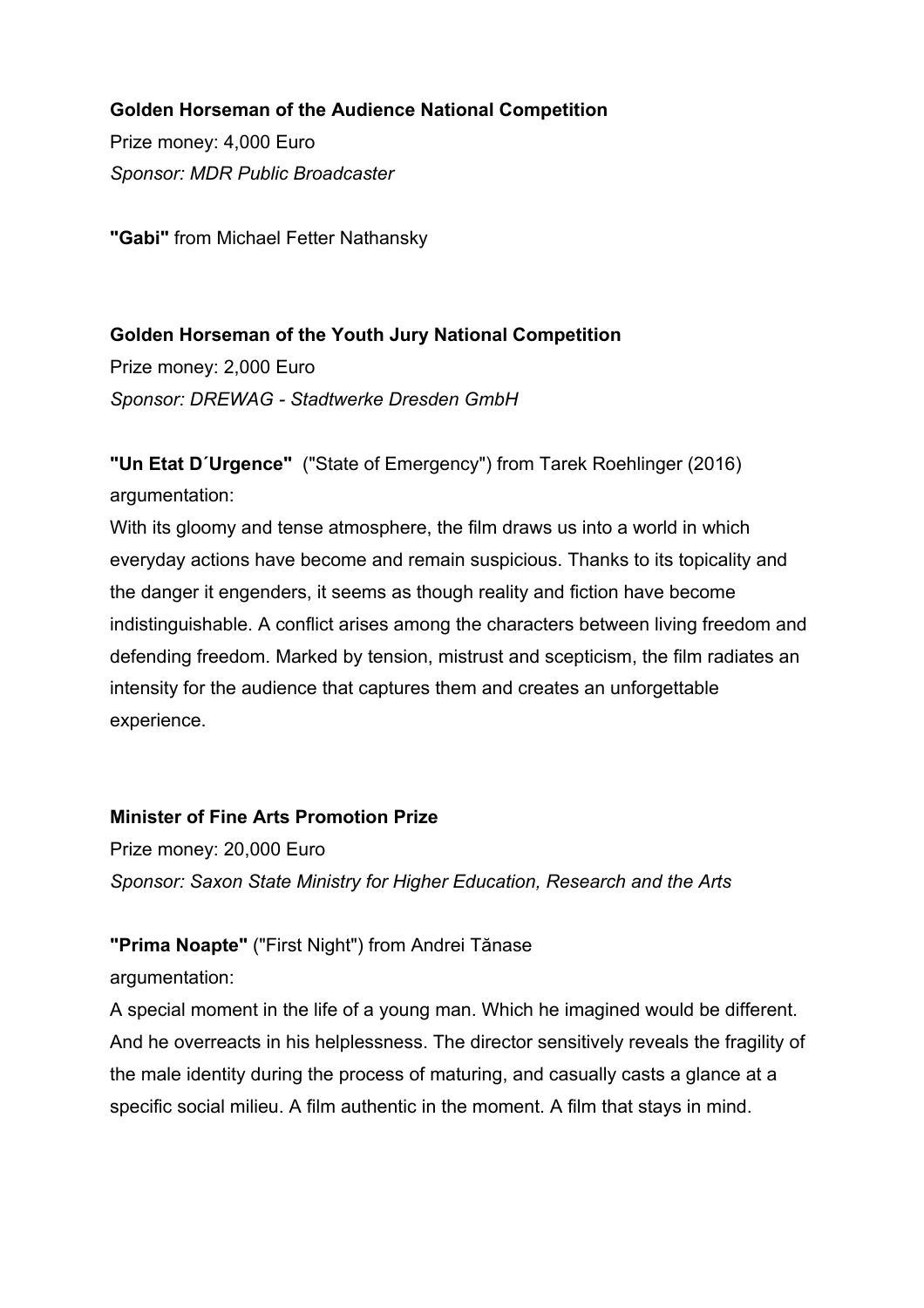### **Golden Horseman of the Audience National Competition**

Prize money: 4,000 Euro *Sponsor: MDR Public Broadcaster*

**"Gabi"** from Michael Fetter Nathansky

#### **Golden Horseman of the Youth Jury National Competition**

Prize money: 2,000 Euro *Sponsor: DREWAG - Stadtwerke Dresden GmbH*

**"Un Etat D´Urgence"** ("State of Emergency") from Tarek Roehlinger (2016) argumentation:

With its gloomy and tense atmosphere, the film draws us into a world in which everyday actions have become and remain suspicious. Thanks to its topicality and the danger it engenders, it seems as though reality and fiction have become indistinguishable. A conflict arises among the characters between living freedom and defending freedom. Marked by tension, mistrust and scepticism, the film radiates an intensity for the audience that captures them and creates an unforgettable experience.

#### **Minister of Fine Arts Promotion Prize**

Prize money: 20,000 Euro *Sponsor: Saxon State Ministry for Higher Education, Research and the Arts*

### **"Prima Noapte"** ("First Night") from Andrei Tănase

argumentation:

A special moment in the life of a young man. Which he imagined would be different. And he overreacts in his helplessness. The director sensitively reveals the fragility of the male identity during the process of maturing, and casually casts a glance at a specific social milieu. A film authentic in the moment. A film that stays in mind.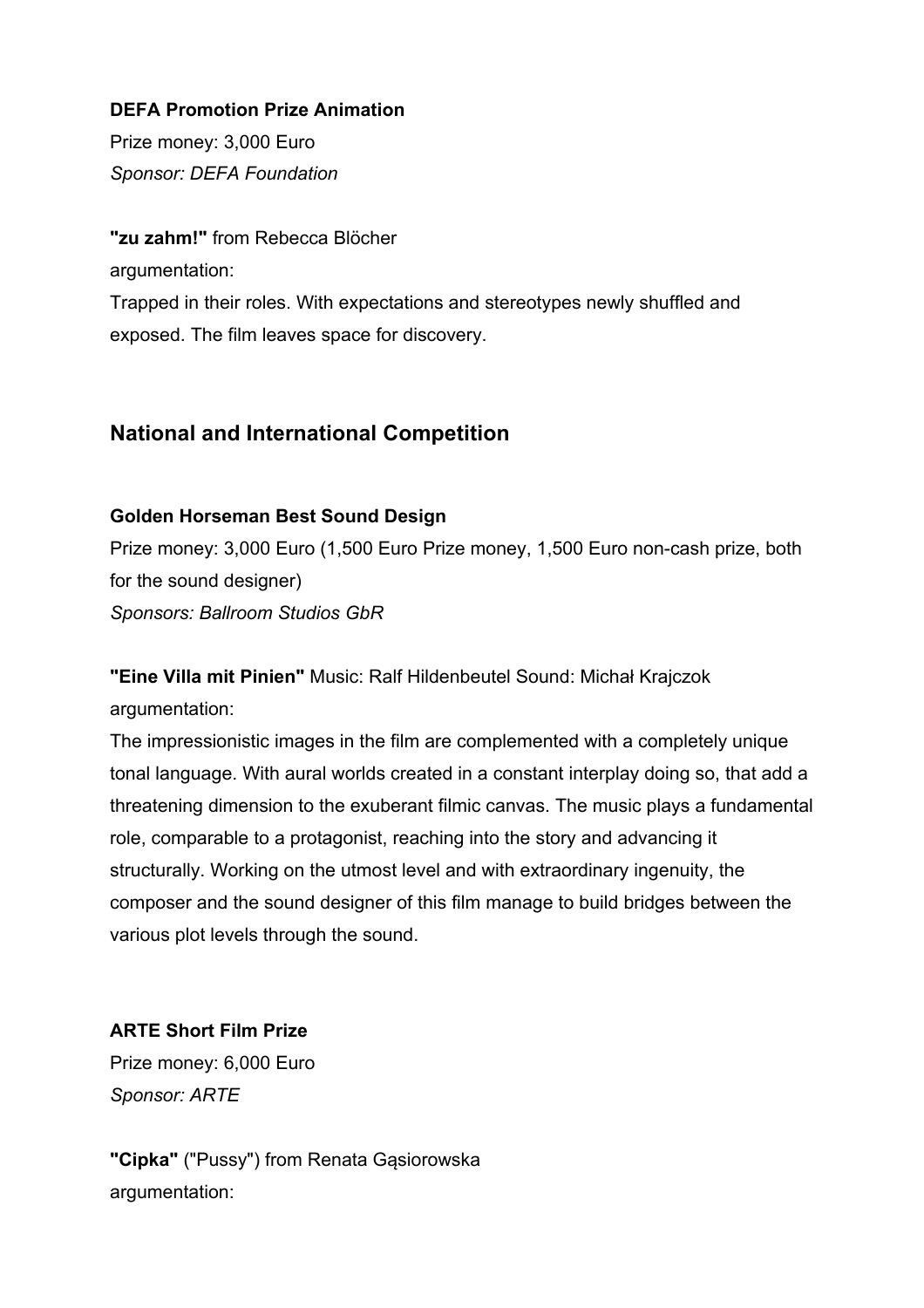#### **DEFA Promotion Prize Animation**

Prize money: 3,000 Euro *Sponsor: DEFA Foundation*

**"zu zahm!"** from Rebecca Blöcher argumentation: Trapped in their roles. With expectations and stereotypes newly shuffled and exposed. The film leaves space for discovery.

## **National and International Competition**

### **Golden Horseman Best Sound Design**

Prize money: 3,000 Euro (1,500 Euro Prize money, 1,500 Euro non-cash prize, both for the sound designer) *Sponsors: Ballroom Studios GbR*

**"Eine Villa mit Pinien"** Music: Ralf Hildenbeutel Sound: Michał Krajczok argumentation:

The impressionistic images in the film are complemented with a completely unique tonal language. With aural worlds created in a constant interplay doing so, that add a threatening dimension to the exuberant filmic canvas. The music plays a fundamental role, comparable to a protagonist, reaching into the story and advancing it structurally. Working on the utmost level and with extraordinary ingenuity, the composer and the sound designer of this film manage to build bridges between the various plot levels through the sound.

# **ARTE Short Film Prize**

Prize money: 6,000 Euro *Sponsor: ARTE*

**"Cipka"** ("Pussy") from Renata Gąsiorowska argumentation: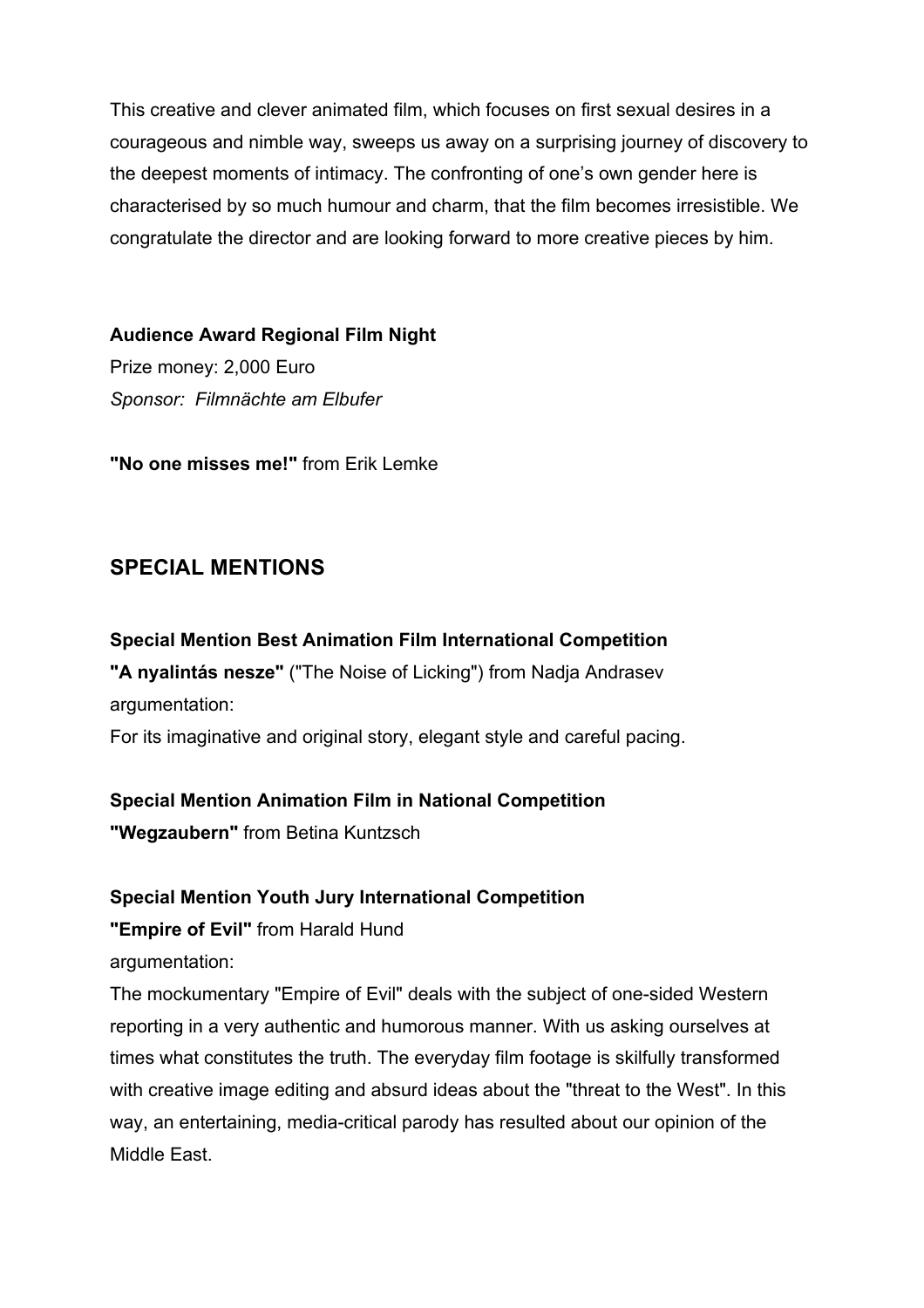This creative and clever animated film, which focuses on first sexual desires in a courageous and nimble way, sweeps us away on a surprising journey of discovery to the deepest moments of intimacy. The confronting of one's own gender here is characterised by so much humour and charm, that the film becomes irresistible. We congratulate the director and are looking forward to more creative pieces by him.

**Audience Award Regional Film Night**  Prize money: 2,000 Euro *Sponsor: Filmnächte am Elbufer*

**"No one misses me!"** from Erik Lemke

### **SPECIAL MENTIONS**

**Special Mention Best Animation Film International Competition "A nyalintás nesze"** ("The Noise of Licking") from Nadja Andrasev argumentation: For its imaginative and original story, elegant style and careful pacing.

#### **Special Mention Animation Film in National Competition**

**"Wegzaubern"** from Betina Kuntzsch

#### **Special Mention Youth Jury International Competition**

**"Empire of Evil"** from Harald Hund

argumentation:

The mockumentary "Empire of Evil" deals with the subject of one-sided Western reporting in a very authentic and humorous manner. With us asking ourselves at times what constitutes the truth. The everyday film footage is skilfully transformed with creative image editing and absurd ideas about the "threat to the West". In this way, an entertaining, media-critical parody has resulted about our opinion of the Middle East.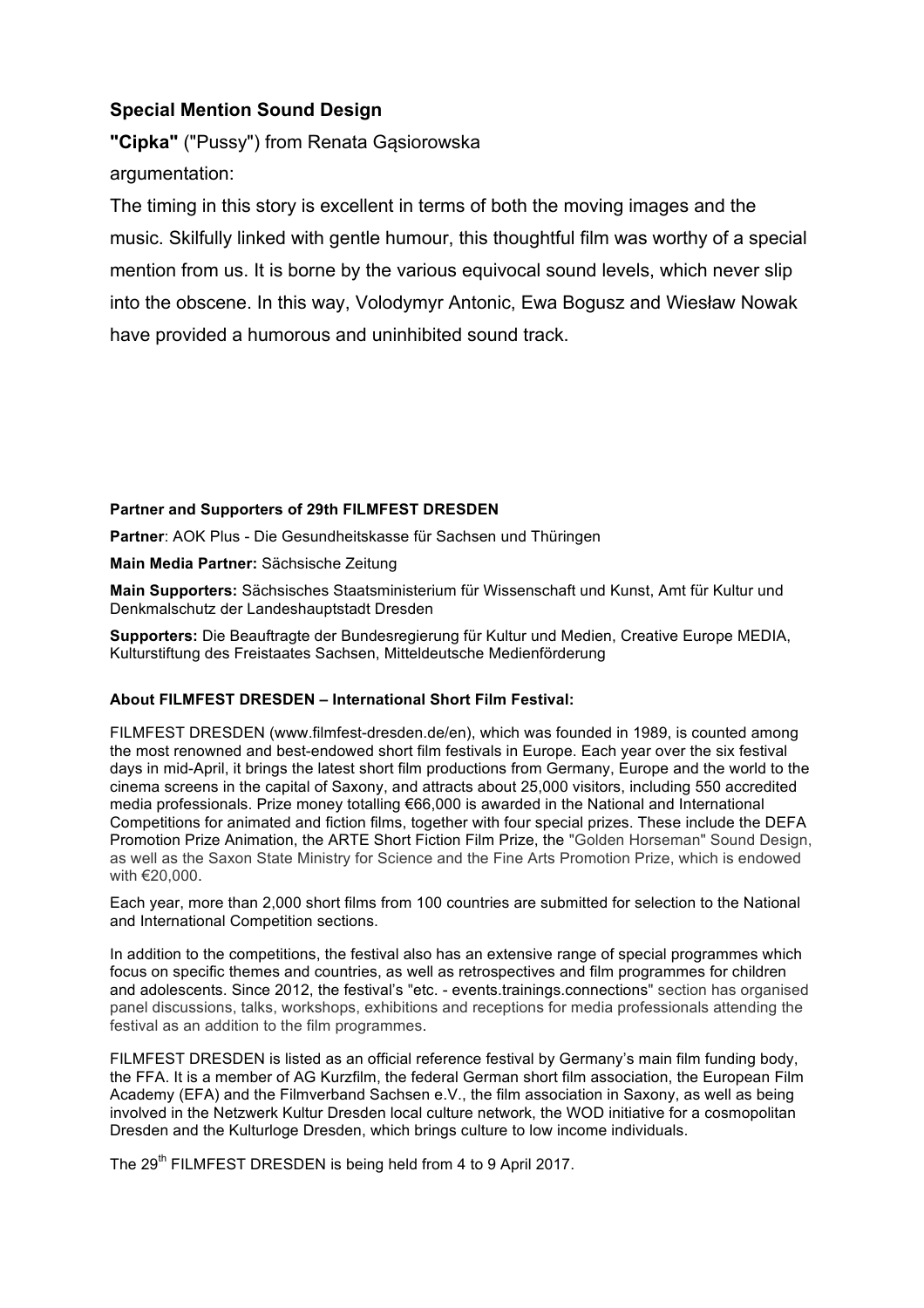#### **Special Mention Sound Design**

**"Cipka"** ("Pussy") from Renata Gąsiorowska argumentation:

The timing in this story is excellent in terms of both the moving images and the music. Skilfully linked with gentle humour, this thoughtful film was worthy of a special mention from us. It is borne by the various equivocal sound levels, which never slip into the obscene. In this way, Volodymyr Antonic, Ewa Bogusz and Wiesław Nowak have provided a humorous and uninhibited sound track.

#### **Partner and Supporters of 29th FILMFEST DRESDEN**

**Partner**: AOK Plus - Die Gesundheitskasse für Sachsen und Thüringen

**Main Media Partner:** Sächsische Zeitung

**Main Supporters:** Sächsisches Staatsministerium für Wissenschaft und Kunst, Amt für Kultur und Denkmalschutz der Landeshauptstadt Dresden

**Supporters:** Die Beauftragte der Bundesregierung für Kultur und Medien, Creative Europe MEDIA, Kulturstiftung des Freistaates Sachsen, Mitteldeutsche Medienförderung

#### **About FILMFEST DRESDEN – International Short Film Festival:**

FILMFEST DRESDEN (www.filmfest-dresden.de/en), which was founded in 1989, is counted among the most renowned and best-endowed short film festivals in Europe. Each year over the six festival days in mid-April, it brings the latest short film productions from Germany, Europe and the world to the cinema screens in the capital of Saxony, and attracts about 25,000 visitors, including 550 accredited media professionals. Prize money totalling €66,000 is awarded in the National and International Competitions for animated and fiction films, together with four special prizes. These include the DEFA Promotion Prize Animation, the ARTE Short Fiction Film Prize, the "Golden Horseman" Sound Design, as well as the Saxon State Ministry for Science and the Fine Arts Promotion Prize, which is endowed with €20,000.

Each year, more than 2,000 short films from 100 countries are submitted for selection to the National and International Competition sections.

In addition to the competitions, the festival also has an extensive range of special programmes which focus on specific themes and countries, as well as retrospectives and film programmes for children and adolescents. Since 2012, the festival's "etc. - events.trainings.connections" section has organised panel discussions, talks, workshops, exhibitions and receptions for media professionals attending the festival as an addition to the film programmes.

FILMFEST DRESDEN is listed as an official reference festival by Germany's main film funding body, the FFA. It is a member of AG Kurzfilm, the federal German short film association, the European Film Academy (EFA) and the Filmverband Sachsen e.V., the film association in Saxony, as well as being involved in the Netzwerk Kultur Dresden local culture network, the WOD initiative for a cosmopolitan Dresden and the Kulturloge Dresden, which brings culture to low income individuals.

The 29<sup>th</sup> FILMFEST DRESDEN is being held from 4 to 9 April 2017.